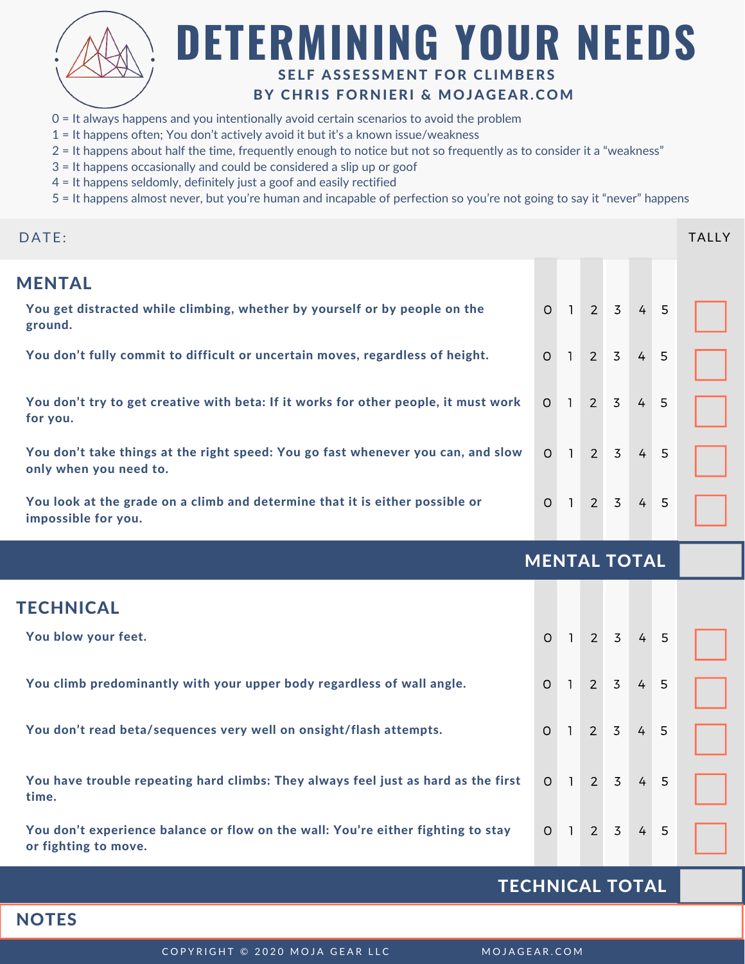

# **DETERMINING YOUR NEEDS** SELF ASSESSMENT FOR CLIMBERS

#### BY CHRIS FORNIERI & MOJAGEAR.COM

- 0 = It always happens and you intentionally avoid certain scenarios to avoid the problem
- 1 = It happens often; You don't actively avoid it but it's a known issue/weakness
- 2 = It happens about half the time, frequently enough to notice but not so frequently as to consider it a "weakness"
- 3 = It happens occasionally and could be considered a slip up or goof
- 4 = It happens seldomly, definitely just a goof and easily rectified
- 5 = It happens almost never, but you're human and incapable of perfection so you're not going to say it "never" happens

| DATE:                                                                                                      |                     |              |                |                |                |   | <b>TALLY</b> |
|------------------------------------------------------------------------------------------------------------|---------------------|--------------|----------------|----------------|----------------|---|--------------|
| <b>MENTAL</b>                                                                                              |                     |              |                |                |                |   |              |
| You get distracted while climbing, whether by yourself or by people on the<br>ground.                      | $\overline{O}$      | $\mathbf{1}$ | $2^{\circ}$    | $\overline{3}$ | $\overline{4}$ | 5 |              |
| You don't fully commit to difficult or uncertain moves, regardless of height.                              | $\circ$             | $\mathbf{1}$ | 2 <sup>1</sup> | $\overline{3}$ | $\overline{4}$ | 5 |              |
| You don't try to get creative with beta: If it works for other people, it must work<br>for you.            | $\Omega$            | $\mathbf{1}$ | $2^{\circ}$    | $\overline{3}$ | $\overline{4}$ | 5 |              |
| You don't take things at the right speed: You go fast whenever you can, and slow<br>only when you need to. | $\circ$             | $\mathbf{1}$ | $2^{\circ}$    | $\overline{3}$ | $\overline{4}$ | 5 |              |
| You look at the grade on a climb and determine that it is either possible or<br>impossible for you.        | $\overline{O}$      | $\mathbb{R}$ | $2^{\circ}$    | $\overline{3}$ | $\overline{4}$ | 5 |              |
|                                                                                                            | <b>MENTAL TOTAL</b> |              |                |                |                |   |              |
| <b>TECHNICAL</b>                                                                                           |                     |              |                |                |                |   |              |
| You blow your feet.                                                                                        | $\overline{O}$      | $\mathbf{1}$ | $\overline{2}$ | $\overline{3}$ | $\frac{4}{3}$  | 5 |              |

| You don't read beta/sequences very well on onsight/flash attempts.               | $0 \mid 1 \mid$ | $2 \overline{3}$ | $4 \quad 5$ |  |  |
|----------------------------------------------------------------------------------|-----------------|------------------|-------------|--|--|
|                                                                                  |                 |                  |             |  |  |
|                                                                                  |                 |                  |             |  |  |
|                                                                                  |                 |                  |             |  |  |
| time.                                                                            |                 |                  |             |  |  |
|                                                                                  |                 |                  |             |  |  |
| You don't experience balance or flow on the wall: You're either fighting to stay |                 |                  |             |  |  |

You climb predominantly with your upper body regardless of wall angle. 0 1 2 3

#### TECHNICAL TOTAL

#### **NOTES**

or fighting to move.

COPYRIGHT © 2020 MOJA GEAR LLC MOJAGEAR.COM